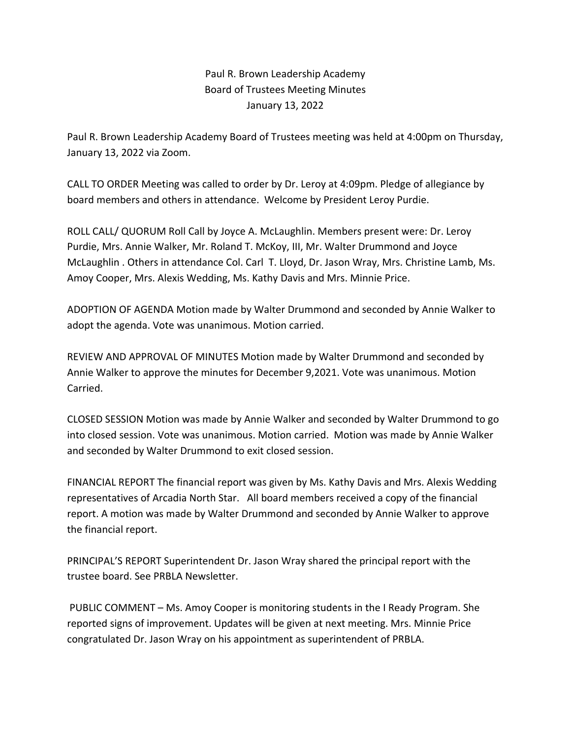Paul R. Brown Leadership Academy Board of Trustees Meeting Minutes January 13, 2022

Paul R. Brown Leadership Academy Board of Trustees meeting was held at 4:00pm on Thursday, January 13, 2022 via Zoom.

CALL TO ORDER Meeting was called to order by Dr. Leroy at 4:09pm. Pledge of allegiance by board members and others in attendance. Welcome by President Leroy Purdie.

ROLL CALL/ QUORUM Roll Call by Joyce A. McLaughlin. Members present were: Dr. Leroy Purdie, Mrs. Annie Walker, Mr. Roland T. McKoy, III, Mr. Walter Drummond and Joyce McLaughlin . Others in attendance Col. Carl T. Lloyd, Dr. Jason Wray, Mrs. Christine Lamb, Ms. Amoy Cooper, Mrs. Alexis Wedding, Ms. Kathy Davis and Mrs. Minnie Price.

ADOPTION OF AGENDA Motion made by Walter Drummond and seconded by Annie Walker to adopt the agenda. Vote was unanimous. Motion carried.

REVIEW AND APPROVAL OF MINUTES Motion made by Walter Drummond and seconded by Annie Walker to approve the minutes for December 9,2021. Vote was unanimous. Motion Carried.

CLOSED SESSION Motion was made by Annie Walker and seconded by Walter Drummond to go into closed session. Vote was unanimous. Motion carried. Motion was made by Annie Walker and seconded by Walter Drummond to exit closed session.

FINANCIAL REPORT The financial report was given by Ms. Kathy Davis and Mrs. Alexis Wedding representatives of Arcadia North Star. All board members received a copy of the financial report. A motion was made by Walter Drummond and seconded by Annie Walker to approve the financial report.

PRINCIPAL'S REPORT Superintendent Dr. Jason Wray shared the principal report with the trustee board. See PRBLA Newsletter.

PUBLIC COMMENT – Ms. Amoy Cooper is monitoring students in the I Ready Program. She reported signs of improvement. Updates will be given at next meeting. Mrs. Minnie Price congratulated Dr. Jason Wray on his appointment as superintendent of PRBLA.